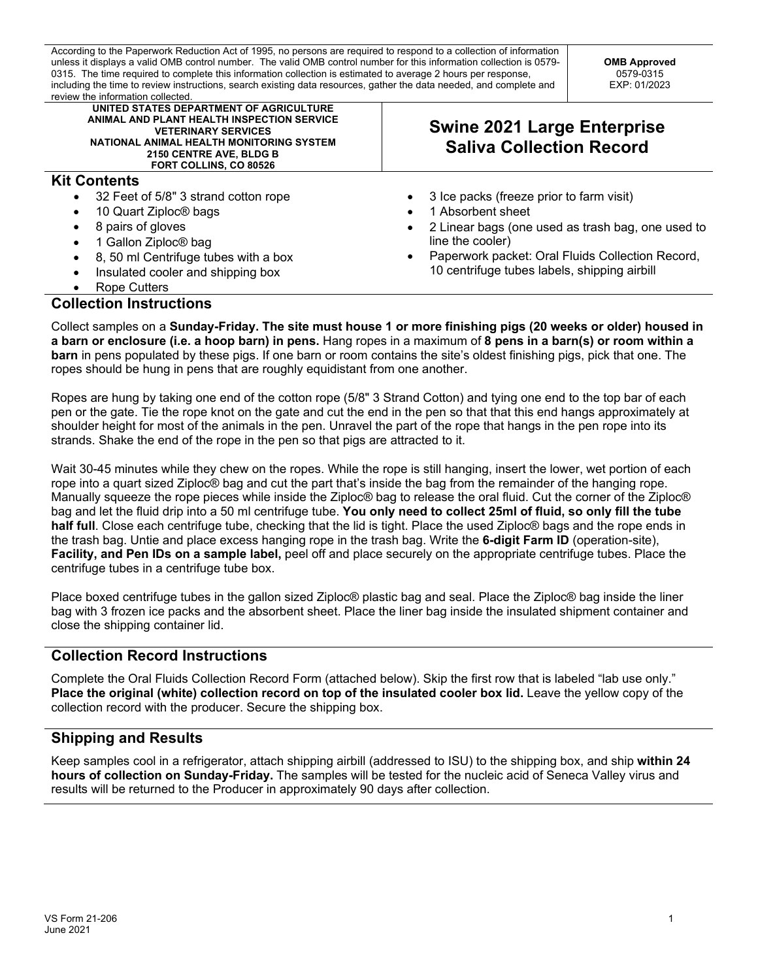According to the Paperwork Reduction Act of 1995, no persons are required to respond to a collection of information unless it displays a valid OMB control number. The valid OMB control number for this information collection is 0579- 0315. The time required to complete this information collection is estimated to average 2 hours per response, including the time to review instructions, search existing data resources, gather the data needed, and complete and review the information collected.

**OMB Approved** 0579-0315 EXP: 01/2023

| icvicw the imumiation concuted                                                                                                                                                                                       |                                                                       |
|----------------------------------------------------------------------------------------------------------------------------------------------------------------------------------------------------------------------|-----------------------------------------------------------------------|
| UNITED STATES DEPARTMENT OF AGRICULTURE<br>ANIMAL AND PLANT HEALTH INSPECTION SERVICE<br><b>VETERINARY SERVICES</b><br>NATIONAL ANIMAL HEALTH MONITORING SYSTEM<br>2150 CENTRE AVE, BLDG B<br>FORT COLLINS, CO 80526 | <b>Swine 2021 Large Enterprise</b><br><b>Saliva Collection Record</b> |
| <b>Kit Contents</b>                                                                                                                                                                                                  |                                                                       |
| 32 Feet of 5/8" 3 strand cotton rope<br>$\bullet$                                                                                                                                                                    | 3 Ice packs (freeze prior to farm visit)                              |
| 10 Quart Ziploc <sup>®</sup> bags<br>٠                                                                                                                                                                               | 1 Absorbent sheet                                                     |
| 8 pairs of gloves                                                                                                                                                                                                    | 2 Linear bags (one used as trash bag, one used to                     |
| 1 Gallon Ziploc® bag                                                                                                                                                                                                 | line the cooler)                                                      |
| 8, 50 ml Centrifuge tubes with a box<br>$\bullet$                                                                                                                                                                    | Paperwork packet: Oral Fluids Collection Record,<br>$\bullet$         |
| Insulated cooler and shipping box<br>$\bullet$                                                                                                                                                                       | 10 centrifuge tubes labels, shipping airbill                          |
| Rope Cutters<br>$\bullet$                                                                                                                                                                                            |                                                                       |
| <b>Collection Instructions</b>                                                                                                                                                                                       |                                                                       |

Collect samples on a **Sunday-Friday. The site must house 1 or more finishing pigs (20 weeks or older) housed in a barn or enclosure (i.e. a hoop barn) in pens.** Hang ropes in a maximum of **8 pens in a barn(s) or room within a barn** in pens populated by these pigs. If one barn or room contains the site's oldest finishing pigs, pick that one. The ropes should be hung in pens that are roughly equidistant from one another.

Ropes are hung by taking one end of the cotton rope (5/8" 3 Strand Cotton) and tying one end to the top bar of each pen or the gate. Tie the rope knot on the gate and cut the end in the pen so that that this end hangs approximately at shoulder height for most of the animals in the pen. Unravel the part of the rope that hangs in the pen rope into its strands. Shake the end of the rope in the pen so that pigs are attracted to it.

Wait 30-45 minutes while they chew on the ropes. While the rope is still hanging, insert the lower, wet portion of each rope into a quart sized Ziploc® bag and cut the part that's inside the bag from the remainder of the hanging rope. Manually squeeze the rope pieces while inside the Ziploc® bag to release the oral fluid. Cut the corner of the Ziploc® bag and let the fluid drip into a 50 ml centrifuge tube. **You only need to collect 25ml of fluid, so only fill the tube half full**. Close each centrifuge tube, checking that the lid is tight. Place the used Ziploc® bags and the rope ends in the trash bag. Untie and place excess hanging rope in the trash bag. Write the **6-digit Farm ID** (operation-site), **Facility, and Pen IDs on a sample label,** peel off and place securely on the appropriate centrifuge tubes. Place the centrifuge tubes in a centrifuge tube box.

Place boxed centrifuge tubes in the gallon sized Ziploc® plastic bag and seal. Place the Ziploc® bag inside the liner bag with 3 frozen ice packs and the absorbent sheet. Place the liner bag inside the insulated shipment container and close the shipping container lid.

## **Collection Record Instructions**

 Complete the Oral Fluids Collection Record Form (attached below). Skip the first row that is labeled "lab use only."  **Place the original (white) collection record on top of the insulated cooler box lid.** Leave the yellow copy of the collection record with the producer. Secure the shipping box.

## **Shipping and Results**

 Keep samples cool in a refrigerator, attach shipping airbill (addressed to ISU) to the shipping box, and ship **within 24 hours of collection on Sunday-Friday.** The samples will be tested for the nucleic acid of Seneca Valley virus and results will be returned to the Producer in approximately 90 days after collection.